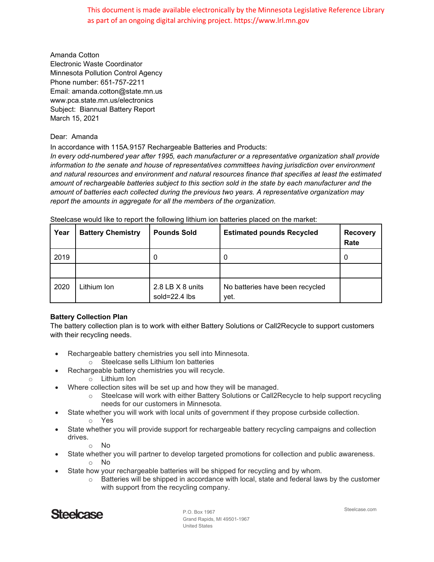This document is made available electronically by the Minnesota Legislative Reference Library as part of an ongoing digital archiving project. https://www.lrl.mn.gov

Amanda Cotton Electronic Waste Coordinator Minnesota Pollution Control Agency Phone number: 651-757-2211 Email: amanda.cotton@state.mn.us www.pca.state.mn.us/electronics Subject: Biannual Battery Report March 15, 2021

## Dear: Amanda

In accordance with 115A.9157 Rechargeable Batteries and Products:

*In every odd-numbered year after 1995, each manufacturer or a representative organization shall provide information to the senate and house of representatives committees having jurisdiction over environment and natural resources and environment and natural resources finance that specifies at least the estimated amount of rechargeable batteries subject to this section sold in the state by each manufacturer and the amount of batteries each collected during the previous two years. A representative organization may report the amounts in aggregate for all the members of the organization.*

| Year | <b>Battery Chemistry</b> | <b>Pounds Sold</b>                          | <b>Estimated pounds Recycled</b>        | <b>Recovery</b><br>Rate |
|------|--------------------------|---------------------------------------------|-----------------------------------------|-------------------------|
| 2019 |                          | 0                                           | 0                                       | 0                       |
|      |                          |                                             |                                         |                         |
| 2020 | Lithium Ion              | 2.8 LB $\times$ 8 units<br>sold= $22.4$ lbs | No batteries have been recycled<br>yet. |                         |

Steelcase would like to report the following lithium ion batteries placed on the market:

## **Battery Collection Plan**

The battery collection plan is to work with either Battery Solutions or Call2Recycle to support customers with their recycling needs.

- Rechargeable battery chemistries you sell into Minnesota.
	- o Steelcase sells Lithium Ion batteries
	- Rechargeable battery chemistries you will recycle.
		- o Lithium Ion
- Where collection sites will be set up and how they will be managed.
	- $\circ$  Steelcase will work with either Battery Solutions or Call2Recycle to help support recycling needs for our customers in Minnesota.
- State whether you will work with local units of government if they propose curbside collection. o Yes
- State whether you will provide support for rechargeable battery recycling campaigns and collection drives.

o No

- State whether you will partner to develop targeted promotions for collection and public awareness.
	- o No
- State how your rechargeable batteries will be shipped for recycling and by whom.
	- $\circ$  Batteries will be shipped in accordance with local, state and federal laws by the customer with support from the recycling company.



P.O. Box 1967 Grand Rapids, MI 49501-1967 United States